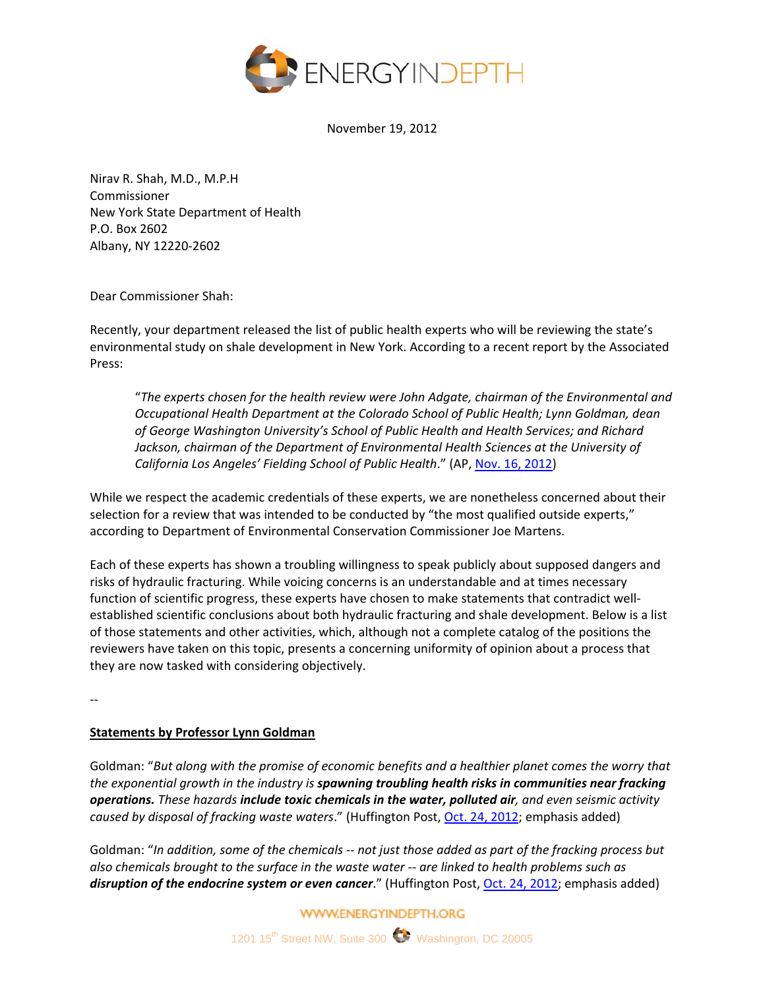

November 19, 2012

Nirav R. Shah, M.D., M.P.H Commissioner New York State Department of Health P.O. Box 2602 Albany, NY 12220‐2602

Dear Commissioner Shah:

Recently, your department released the list of public health experts who will be reviewing the state's environmental study on shale development in New York. According to a recent report by the Associated Press:

"*The experts chosen for the health review were John Adgate, chairman of the Environmental and Occupational Health Department at the Colorado School of Public Health; Lynn Goldman, dean of George Washington University's School of Public Health and Health Services; and Richard Jackson, chairman of the Department of Environmental Health Sciences at the University of California Los Angeles' Fielding School of Public Health*." (AP, Nov. 16, 2012)

While we respect the academic credentials of these experts, we are nonetheless concerned about their selection for a review that was intended to be conducted by "the most qualified outside experts," according to Department of Environmental Conservation Commissioner Joe Martens.

Each of these experts has shown a troubling willingness to speak publicly about supposed dangers and risks of hydraulic fracturing. While voicing concerns is an understandable and at times necessary function of scientific progress, these experts have chosen to make statements that contradict wellestablished scientific conclusions about both hydraulic fracturing and shale development. Below is a list of those statements and other activities, which, although not a complete catalog of the positions the reviewers have taken on this topic, presents a concerning uniformity of opinion about a process that they are now tasked with considering objectively.

‐‐

## **Statements by Professor Lynn Goldman**

Goldman: "*But along with the promise of economic benefits and a healthier planet comes the worry that the exponential growth in the industry is spawning troubling health risks in communities near fracking operations. These hazards include toxic chemicals in the water, polluted air, and even seismic activity caused by disposal of fracking waste waters*." (Huffington Post, Oct. 24, 2012; emphasis added)

Goldman: "In addition, some of the chemicals -- not just those added as part of the fracking process but *also chemicals brought to the surface in the waste water ‐‐ are linked to health problems such as disruption of the endocrine system or even cancer*." (Huffington Post, Oct. 24, 2012; emphasis added)

**WWW.ENERGYINDEPTH.ORG**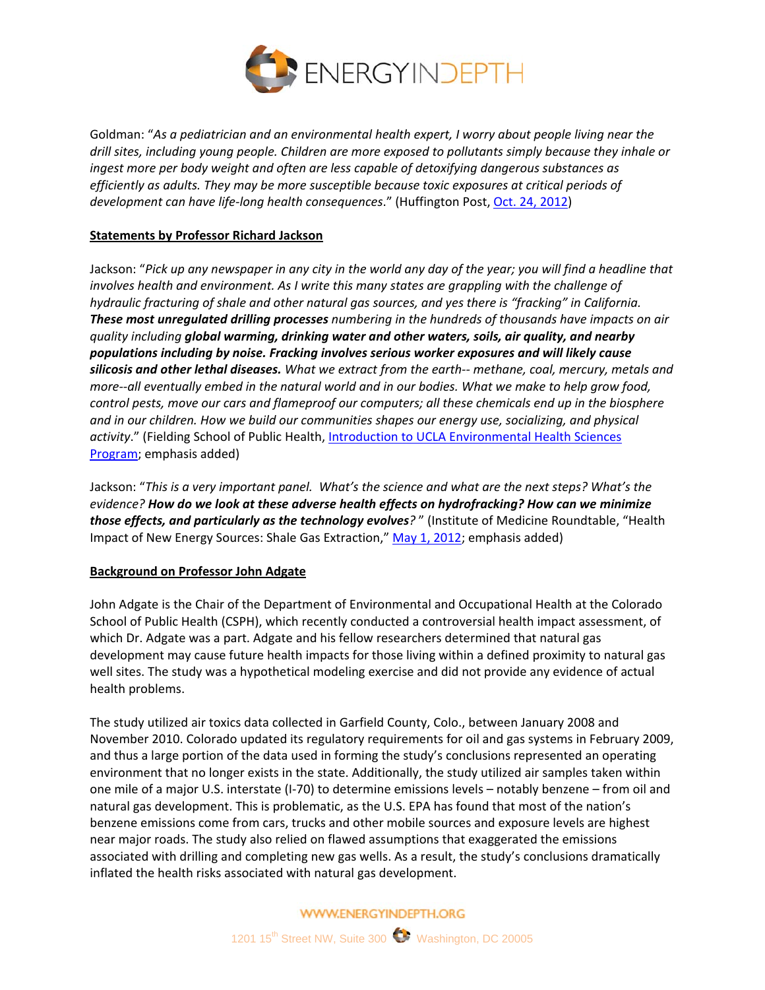

Goldman: "*As a pediatrician and an environmental health expert, I worry about people living near the drill sites, including young people. Children are more exposed to pollutants simply because they inhale or ingest more per body weight and often are less capable of detoxifying dangerous substances as efficiently as adults. They may be more susceptible because toxic exposures at critical periods of development can have life‐long health consequences*." (Huffington Post, Oct. 24, 2012)

## **Statements by Professor Richard Jackson**

Jackson: "Pick up any newspaper in any city in the world any day of the year; you will find a headline that *involves health and environment. As I write this many states are grappling with the challenge of hydraulic fracturing of shale and other natural gas sources, and yes there is "fracking" in California. These most unregulated drilling processes numbering in the hundreds of thousands have impacts on air quality including global warming, drinking water and other waters, soils, air quality, and nearby populations including by noise. Fracking involves serious worker exposures and will likely cause silicosis and other lethal diseases. What we extract from the earth‐‐ methane, coal, mercury, metals and* more--all eventually embed in the natural world and in our bodies. What we make to help grow food, *control pests, move our cars and flameproof our computers; all these chemicals end up in the biosphere and in our children. How we build our communities shapes our energy use, socializing, and physical activity*." (Fielding School of Public Health, Introduction to UCLA Environmental Health Sciences Program; emphasis added)

Jackson: "This is a very important panel. What's the science and what are the next steps? What's the *evidence? How do we look at these adverse health effects on hydrofracking? How can we minimize those effects, and particularly as the technology evolves?* " (Institute of Medicine Roundtable, "Health Impact of New Energy Sources: Shale Gas Extraction," May 1, 2012; emphasis added)

## **Background on Professor John Adgate**

John Adgate is the Chair of the Department of Environmental and Occupational Health at the Colorado School of Public Health (CSPH), which recently conducted a controversial health impact assessment, of which Dr. Adgate was a part. Adgate and his fellow researchers determined that natural gas development may cause future health impacts for those living within a defined proximity to natural gas well sites. The study was a hypothetical modeling exercise and did not provide any evidence of actual health problems.

The study utilized air toxics data collected in Garfield County, Colo., between January 2008 and November 2010. Colorado updated its regulatory requirements for oil and gas systems in February 2009, and thus a large portion of the data used in forming the study's conclusions represented an operating environment that no longer exists in the state. Additionally, the study utilized air samples taken within one mile of a major U.S. interstate (I‐70) to determine emissions levels – notably benzene – from oil and natural gas development. This is problematic, as the U.S. EPA has found that most of the nation's benzene emissions come from cars, trucks and other mobile sources and exposure levels are highest near major roads. The study also relied on flawed assumptions that exaggerated the emissions associated with drilling and completing new gas wells. As a result, the study's conclusions dramatically inflated the health risks associated with natural gas development.

**WWW.ENERGYINDEPTH.ORG**